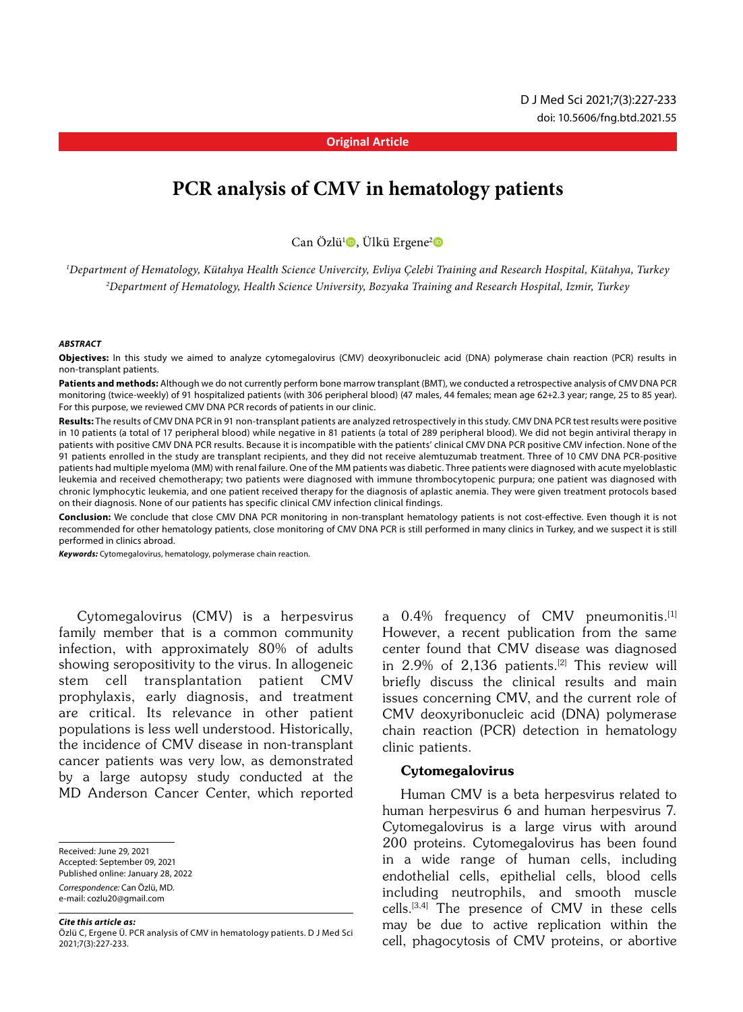#### **Original Article**

# **PCR analysis of CMV in hematology patients**

Can Özlü<sup>ı</sup>⊙, Ülkü Ergene<sup>2</sup>⊙

*1 Department of Hematology, Kütahya Health Science Univercity, Evliya Çelebi Training and Research Hospital, Kütahya, Turkey 2 Department of Hematology, Health Science University, Bozyaka Training and Research Hospital, Izmir, Turkey*

#### *ABSTRACT*

**Objectives:** In this study we aimed to analyze cytomegalovirus (CMV) deoxyribonucleic acid (DNA) polymerase chain reaction (PCR) results in non-transplant patients.

**Patients and methods:** Although we do not currently perform bone marrow transplant (BMT), we conducted a retrospective analysis of CMV DNA PCR monitoring (twice-weekly) of 91 hospitalized patients (with 306 peripheral blood) (47 males, 44 females; mean age 62+2.3 year; range, 25 to 85 year). For this purpose, we reviewed CMV DNA PCR records of patients in our clinic.

**Results:** The results of CMV DNA PCR in 91 non-transplant patients are analyzed retrospectively in this study. CMV DNA PCR test results were positive in 10 patients (a total of 17 peripheral blood) while negative in 81 patients (a total of 289 peripheral blood). We did not begin antiviral therapy in patients with positive CMV DNA PCR results. Because it is incompatible with the patients' clinical CMV DNA PCR positive CMV infection. None of the 91 patients enrolled in the study are transplant recipients, and they did not receive alemtuzumab treatment. Three of 10 CMV DNA PCR-positive patients had multiple myeloma (MM) with renal failure. One of the MM patients was diabetic. Three patients were diagnosed with acute myeloblastic leukemia and received chemotherapy; two patients were diagnosed with immune thrombocytopenic purpura; one patient was diagnosed with chronic lymphocytic leukemia, and one patient received therapy for the diagnosis of aplastic anemia. They were given treatment protocols based on their diagnosis. None of our patients has specific clinical CMV infection clinical findings.

**Conclusion:** We conclude that close CMV DNA PCR monitoring in non-transplant hematology patients is not cost-effective. Even though it is not recommended for other hematology patients, close monitoring of CMV DNA PCR is still performed in many clinics in Turkey, and we suspect it is still performed in clinics abroad.

*Keywords:* Cytomegalovirus, hematology, polymerase chain reaction.

Cytomegalovirus (CMV) is a herpesvirus family member that is a common community infection, with approximately 80% of adults showing seropositivity to the virus. In allogeneic stem cell transplantation patient CMV prophylaxis, early diagnosis, and treatment are critical. Its relevance in other patient populations is less well understood. Historically, the incidence of CMV disease in non-transplant cancer patients was very low, as demonstrated by a large autopsy study conducted at the MD Anderson Cancer Center, which reported

Received: June 29, 2021 Accepted: September 09, 2021 Published online: January 28, 2022 *Correspondence:* Can Özlü, MD. e-mail: cozlu20@gmail.com

*Cite this article as:* Özlü C, Ergene Ü. PCR analysis of CMV in hematology patients. D J Med Sci 2021;7(3):227-233.

a 0.4% frequency of CMV pneumonitis.<sup>[1]</sup> However, a recent publication from the same center found that CMV disease was diagnosed in  $2.9\%$  of  $2.136$  patients.<sup>[2]</sup> This review will briefly discuss the clinical results and main issues concerning CMV, and the current role of CMV deoxyribonucleic acid (DNA) polymerase chain reaction (PCR) detection in hematology clinic patients.

#### Cytomegalovirus

Human CMV is a beta herpesvirus related to human herpesvirus 6 and human herpesvirus 7. Cytomegalovirus is a large virus with around 200 proteins. Cytomegalovirus has been found in a wide range of human cells, including endothelial cells, epithelial cells, blood cells including neutrophils, and smooth muscle cells.[3,4] The presence of CMV in these cells may be due to active replication within the cell, phagocytosis of CMV proteins, or abortive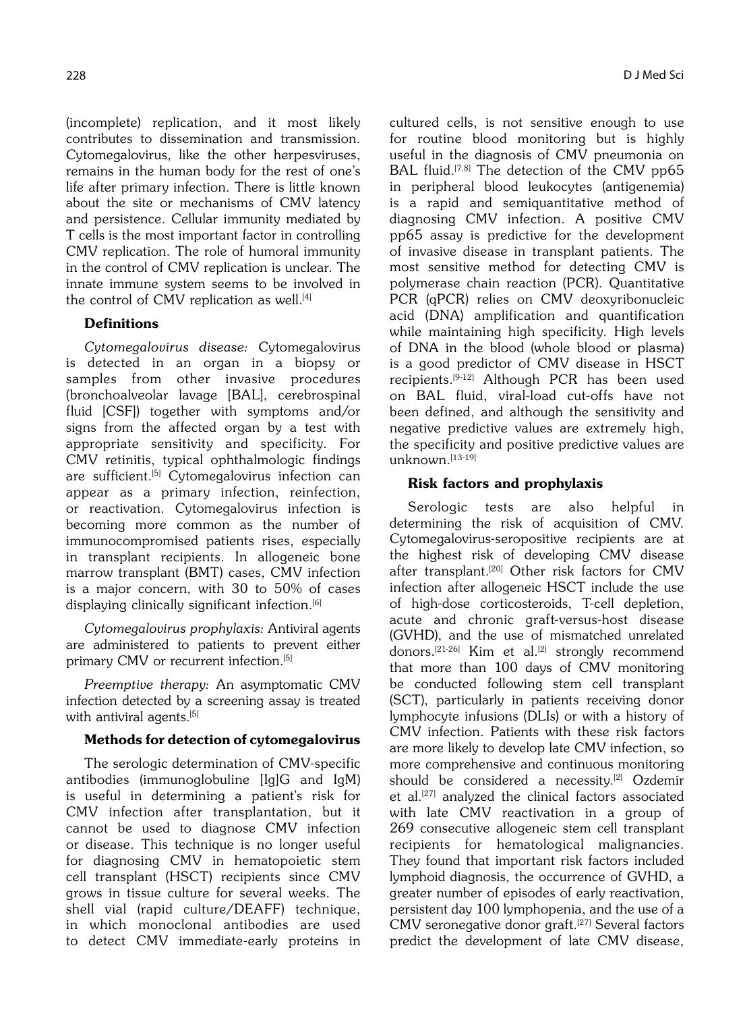(incomplete) replication, and it most likely contributes to dissemination and transmission. Cytomegalovirus, like the other herpesviruses, remains in the human body for the rest of one's life after primary infection. There is little known about the site or mechanisms of CMV latency and persistence. Cellular immunity mediated by T cells is the most important factor in controlling CMV replication. The role of humoral immunity in the control of CMV replication is unclear. The innate immune system seems to be involved in the control of CMV replication as well. $[4]$ 

## **Definitions**

Cytomegalovirus disease: Cytomegalovirus is detected in an organ in a biopsy or samples from other invasive procedures (bronchoalveolar lavage [BAL], cerebrospinal fluid [CSF]) together with symptoms and/or signs from the affected organ by a test with appropriate sensitivity and specificity. For CMV retinitis, typical ophthalmologic findings are sufficient.<sup>[5]</sup> Cytomegalovirus infection can appear as a primary infection, reinfection, or reactivation. Cytomegalovirus infection is becoming more common as the number of immunocompromised patients rises, especially in transplant recipients. In allogeneic bone marrow transplant (BMT) cases, CMV infection is a major concern, with 30 to 50% of cases displaying clinically significant infection.<sup>[6]</sup>

Cytomegalovirus prophylaxis: Antiviral agents are administered to patients to prevent either primary CMV or recurrent infection.<sup>[5]</sup>

Preemptive therapy: An asymptomatic CMV infection detected by a screening assay is treated with antiviral agents.<sup>[5]</sup>

## Methods for detection of cytomegalovirus

The serologic determination of CMV-specific antibodies (immunoglobuline [Ig]G and IgM) is useful in determining a patient's risk for CMV infection after transplantation, but it cannot be used to diagnose CMV infection or disease. This technique is no longer useful for diagnosing CMV in hematopoietic stem cell transplant (HSCT) recipients since CMV grows in tissue culture for several weeks. The shell vial (rapid culture/DEAFF) technique, in which monoclonal antibodies are used to detect CMV immediate-early proteins in cultured cells, is not sensitive enough to use for routine blood monitoring but is highly useful in the diagnosis of CMV pneumonia on BAL fluid.<sup>[7,8]</sup> The detection of the CMV pp65 in peripheral blood leukocytes (antigenemia) is a rapid and semiquantitative method of diagnosing CMV infection. A positive CMV pp65 assay is predictive for the development of invasive disease in transplant patients. The most sensitive method for detecting CMV is polymerase chain reaction (PCR). Quantitative PCR (qPCR) relies on CMV deoxyribonucleic acid (DNA) amplification and quantification while maintaining high specificity. High levels of DNA in the blood (whole blood or plasma) is a good predictor of CMV disease in HSCT recipients.[9-12] Although PCR has been used on BAL fluid, viral-load cut-offs have not been defined, and although the sensitivity and negative predictive values are extremely high, the specificity and positive predictive values are unknown.[13-19]

## Risk factors and prophylaxis

Serologic tests are also helpful in determining the risk of acquisition of CMV. Cytomegalovirus-seropositive recipients are at the highest risk of developing CMV disease after transplant.<sup>[20]</sup> Other risk factors for CMV infection after allogeneic HSCT include the use of high-dose corticosteroids, T-cell depletion, acute and chronic graft-versus-host disease (GVHD), and the use of mismatched unrelated donors.<sup>[21-26]</sup> Kim et al.<sup>[2]</sup> strongly recommend that more than 100 days of CMV monitoring be conducted following stem cell transplant (SCT), particularly in patients receiving donor lymphocyte infusions (DLIs) or with a history of CMV infection. Patients with these risk factors are more likely to develop late CMV infection, so more comprehensive and continuous monitoring should be considered a necessity.<sup>[2]</sup> Ozdemir et al.<sup>[27]</sup> analyzed the clinical factors associated with late CMV reactivation in a group of 269 consecutive allogeneic stem cell transplant recipients for hematological malignancies. They found that important risk factors included lymphoid diagnosis, the occurrence of GVHD, a greater number of episodes of early reactivation, persistent day 100 lymphopenia, and the use of a CMV seronegative donor graft.[27] Several factors predict the development of late CMV disease,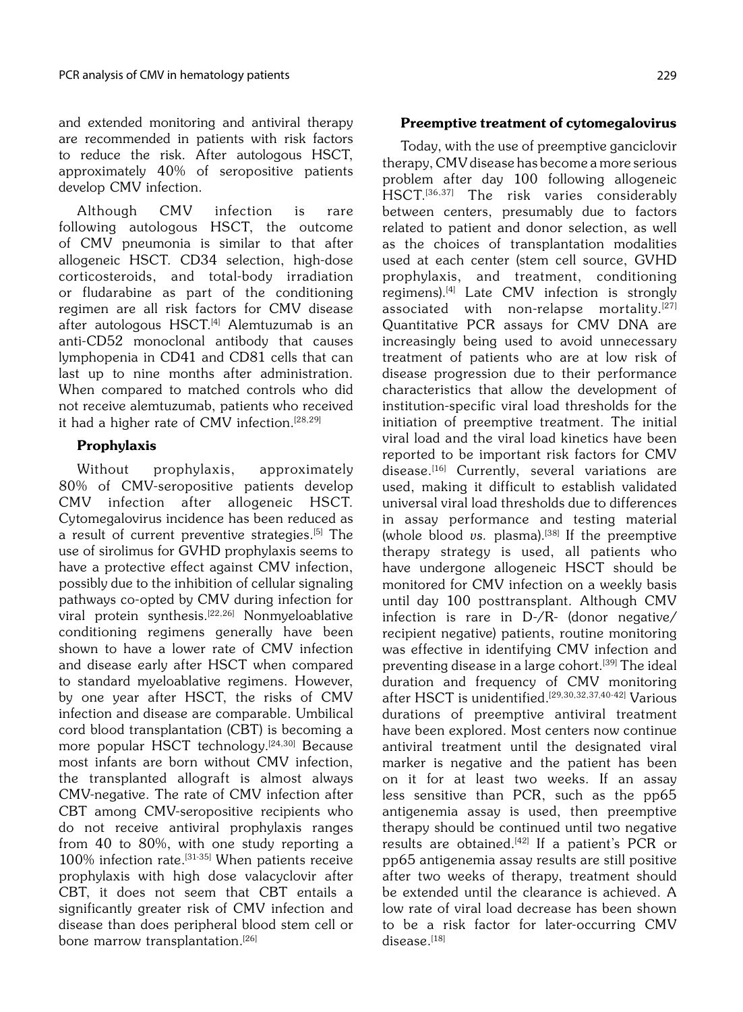and extended monitoring and antiviral therapy are recommended in patients with risk factors to reduce the risk. After autologous HSCT, approximately 40% of seropositive patients develop CMV infection.

Although CMV infection is rare following autologous HSCT, the outcome of CMV pneumonia is similar to that after allogeneic HSCT. CD34 selection, high-dose corticosteroids, and total-body irradiation or fludarabine as part of the conditioning regimen are all risk factors for CMV disease after autologous HSCT.<sup>[4]</sup> Alemtuzumab is an anti-CD52 monoclonal antibody that causes lymphopenia in CD41 and CD81 cells that can last up to nine months after administration. When compared to matched controls who did not receive alemtuzumab, patients who received it had a higher rate of CMV infection.<sup>[28,29]</sup>

## Prophylaxis

Without prophylaxis, approximately 80% of CMV-seropositive patients develop CMV infection after allogeneic HSCT. Cytomegalovirus incidence has been reduced as a result of current preventive strategies.[5] The use of sirolimus for GVHD prophylaxis seems to have a protective effect against CMV infection, possibly due to the inhibition of cellular signaling pathways co-opted by CMV during infection for viral protein synthesis.[22,26] Nonmyeloablative conditioning regimens generally have been shown to have a lower rate of CMV infection and disease early after HSCT when compared to standard myeloablative regimens. However, by one year after HSCT, the risks of CMV infection and disease are comparable. Umbilical cord blood transplantation (CBT) is becoming a more popular HSCT technology.<sup>[24,30]</sup> Because most infants are born without CMV infection, the transplanted allograft is almost always CMV-negative. The rate of CMV infection after CBT among CMV-seropositive recipients who do not receive antiviral prophylaxis ranges from 40 to 80%, with one study reporting a 100% infection rate.[31-35] When patients receive prophylaxis with high dose valacyclovir after CBT, it does not seem that CBT entails a significantly greater risk of CMV infection and disease than does peripheral blood stem cell or bone marrow transplantation.<sup>[26]</sup>

## Preemptive treatment of cytomegalovirus

Today, with the use of preemptive ganciclovir therapy, CMV disease has become a more serious problem after day 100 following allogeneic HSCT.<sup>[36,37]</sup> The risk varies considerably between centers, presumably due to factors related to patient and donor selection, as well as the choices of transplantation modalities used at each center (stem cell source, GVHD prophylaxis, and treatment, conditioning regimens).[4] Late CMV infection is strongly associated with non-relapse mortality.<sup>[27]</sup> Quantitative PCR assays for CMV DNA are increasingly being used to avoid unnecessary treatment of patients who are at low risk of disease progression due to their performance characteristics that allow the development of institution-specific viral load thresholds for the initiation of preemptive treatment. The initial viral load and the viral load kinetics have been reported to be important risk factors for CMV disease.<sup>[16]</sup> Currently, several variations are used, making it difficult to establish validated universal viral load thresholds due to differences in assay performance and testing material (whole blood  $vs.$  plasma).<sup>[38]</sup> If the preemptive therapy strategy is used, all patients who have undergone allogeneic HSCT should be monitored for CMV infection on a weekly basis until day 100 posttransplant. Although CMV infection is rare in D-/R- (donor negative/ recipient negative) patients, routine monitoring was effective in identifying CMV infection and preventing disease in a large cohort.<sup>[39]</sup> The ideal duration and frequency of CMV monitoring after HSCT is unidentified.<sup>[29,30,32,37,40-42]</sup> Various durations of preemptive antiviral treatment have been explored. Most centers now continue antiviral treatment until the designated viral marker is negative and the patient has been on it for at least two weeks. If an assay less sensitive than PCR, such as the pp65 antigenemia assay is used, then preemptive therapy should be continued until two negative results are obtained.<sup>[42]</sup> If a patient's PCR or pp65 antigenemia assay results are still positive after two weeks of therapy, treatment should be extended until the clearance is achieved. A low rate of viral load decrease has been shown to be a risk factor for later-occurring CMV disease.[18]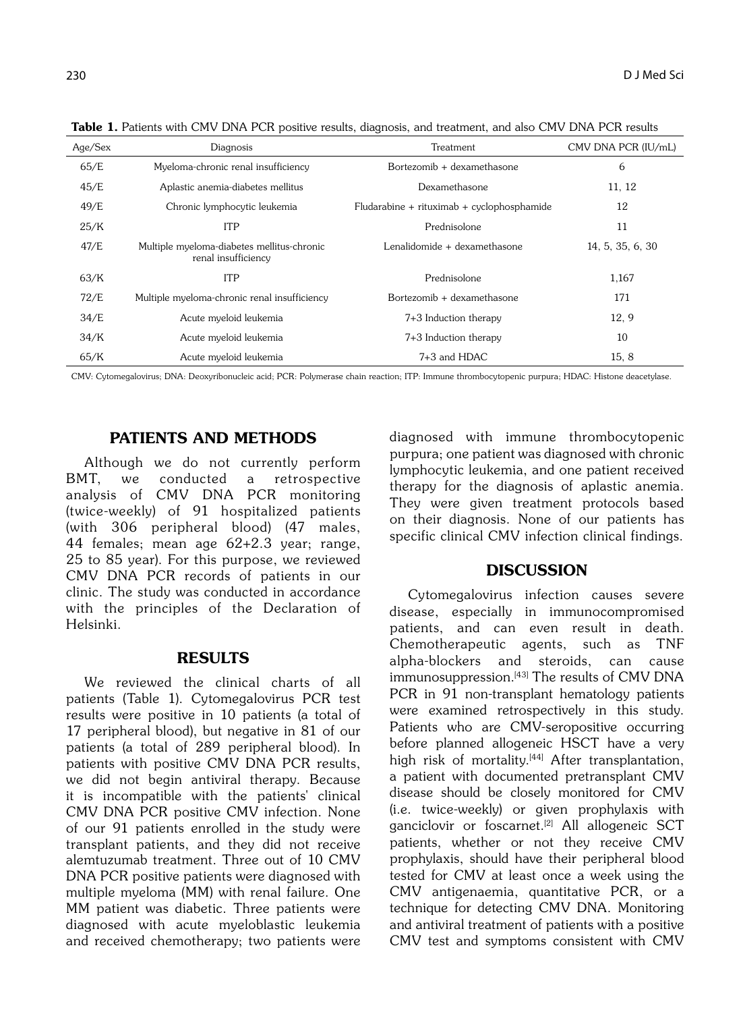| Age/Sex | Diagnosis                                                         | Treatment                                     | CMV DNA PCR (IU/mL) |
|---------|-------------------------------------------------------------------|-----------------------------------------------|---------------------|
| 65/E    | Myeloma-chronic renal insufficiency                               | Bortezomib + dexamethasone                    | 6                   |
| 45/E    | Aplastic anemia-diabetes mellitus                                 | Dexamethasone                                 | 11, 12              |
| 49/E    | Chronic lymphocytic leukemia                                      | $F$ ludarabine + rituximab + cyclophosphamide | 12                  |
| 25/K    | <b>ITP</b>                                                        | Prednisolone                                  | 11                  |
| 47/E    | Multiple myeloma-diabetes mellitus-chronic<br>renal insufficiency | Lenalidomide + dexamethasone                  | 14, 5, 35, 6, 30    |
| 63/K    | <b>ITP</b>                                                        | Prednisolone                                  | 1.167               |
| 72/E    | Multiple myeloma-chronic renal insufficiency                      | Bortezomib + dexamethasone                    | 171                 |
| 34/E    | Acute myeloid leukemia                                            | 7+3 Induction therapy                         | 12, 9               |
| 34/K    | Acute myeloid leukemia                                            | 7+3 Induction therapy                         | 10                  |
| 65/K    | Acute myeloid leukemia                                            | 7+3 and HDAC                                  | 15, 8               |

Table 1. Patients with CMV DNA PCR positive results, diagnosis, and treatment, and also CMV DNA PCR results

CMV: Cytomegalovirus; DNA: Deoxyribonucleic acid; PCR: Polymerase chain reaction; ITP: Immune thrombocytopenic purpura; HDAC: Histone deacetylase.

## Patients AND METHODS

Although we do not currently perform BMT, we conducted a retrospective analysis of CMV DNA PCR monitoring (twice-weekly) of 91 hospitalized patients (with 306 peripheral blood) (47 males, 44 females; mean age 62+2.3 year; range, 25 to 85 year). For this purpose, we reviewed CMV DNA PCR records of patients in our clinic. The study was conducted in accordance with the principles of the Declaration of Helsinki.

#### RESULTS

We reviewed the clinical charts of all patients (Table 1). Cytomegalovirus PCR test results were positive in 10 patients (a total of 17 peripheral blood), but negative in 81 of our patients (a total of 289 peripheral blood). In patients with positive CMV DNA PCR results, we did not begin antiviral therapy. Because it is incompatible with the patients' clinical CMV DNA PCR positive CMV infection. None of our 91 patients enrolled in the study were transplant patients, and they did not receive alemtuzumab treatment. Three out of 10 CMV DNA PCR positive patients were diagnosed with multiple myeloma (MM) with renal failure. One MM patient was diabetic. Three patients were diagnosed with acute myeloblastic leukemia and received chemotherapy; two patients were diagnosed with immune thrombocytopenic purpura; one patient was diagnosed with chronic lymphocytic leukemia, and one patient received therapy for the diagnosis of aplastic anemia. They were given treatment protocols based on their diagnosis. None of our patients has specific clinical CMV infection clinical findings.

### **DISCUSSION**

Cytomegalovirus infection causes severe disease, especially in immunocompromised patients, and can even result in death. Chemotherapeutic agents, such as TNF alpha-blockers and steroids, can cause immunosuppression.<sup>[43]</sup> The results of CMV DNA PCR in 91 non-transplant hematology patients were examined retrospectively in this study. Patients who are CMV-seropositive occurring before planned allogeneic HSCT have a very high risk of mortality.<sup>[44]</sup> After transplantation, a patient with documented pretransplant CMV disease should be closely monitored for CMV (i.e. twice-weekly) or given prophylaxis with ganciclovir or foscarnet.<sup>[2]</sup> All allogeneic SCT patients, whether or not they receive CMV prophylaxis, should have their peripheral blood tested for CMV at least once a week using the CMV antigenaemia, quantitative PCR, or a technique for detecting CMV DNA. Monitoring and antiviral treatment of patients with a positive CMV test and symptoms consistent with CMV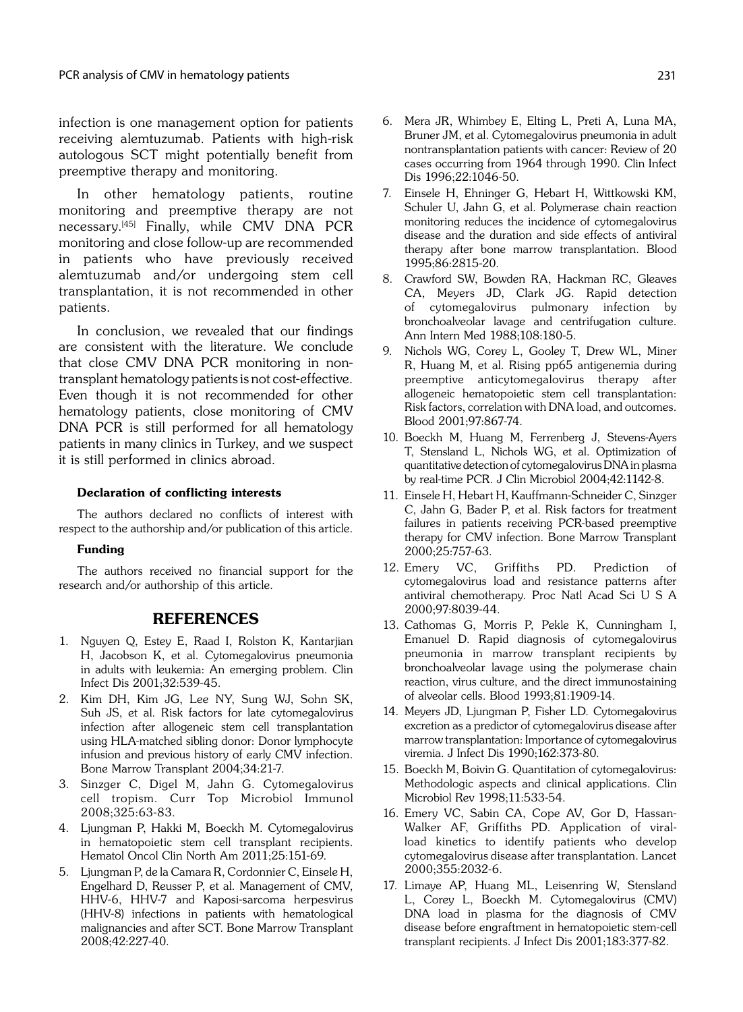infection is one management option for patients receiving alemtuzumab. Patients with high-risk autologous SCT might potentially benefit from preemptive therapy and monitoring.

In other hematology patients, routine monitoring and preemptive therapy are not necessary.[45] Finally, while CMV DNA PCR monitoring and close follow-up are recommended in patients who have previously received alemtuzumab and/or undergoing stem cell transplantation, it is not recommended in other patients.

In conclusion, we revealed that our findings are consistent with the literature. We conclude that close CMV DNA PCR monitoring in nontransplant hematology patients is not cost-effective. Even though it is not recommended for other hematology patients, close monitoring of CMV DNA PCR is still performed for all hematology patients in many clinics in Turkey, and we suspect it is still performed in clinics abroad.

#### Declaration of conflicting interests

The authors declared no conflicts of interest with respect to the authorship and/or publication of this article.

#### Funding

The authors received no financial support for the research and/or authorship of this article.

#### REFERENCES

- 1. Nguyen Q, Estey E, Raad I, Rolston K, Kantarjian H, Jacobson K, et al. Cytomegalovirus pneumonia in adults with leukemia: An emerging problem. Clin Infect Dis 2001;32:539-45.
- 2. Kim DH, Kim JG, Lee NY, Sung WJ, Sohn SK, Suh JS, et al. Risk factors for late cytomegalovirus infection after allogeneic stem cell transplantation using HLA-matched sibling donor: Donor lymphocyte infusion and previous history of early CMV infection. Bone Marrow Transplant 2004;34:21-7.
- 3. Sinzger C, Digel M, Jahn G. Cytomegalovirus cell tropism. Curr Top Microbiol Immunol 2008;325:63-83.
- 4. Ljungman P, Hakki M, Boeckh M. Cytomegalovirus in hematopoietic stem cell transplant recipients. Hematol Oncol Clin North Am 2011;25:151-69.
- 5. Ljungman P, de la Camara R, Cordonnier C, Einsele H, Engelhard D, Reusser P, et al. Management of CMV, HHV-6, HHV-7 and Kaposi-sarcoma herpesvirus (HHV-8) infections in patients with hematological malignancies and after SCT. Bone Marrow Transplant 2008;42:227-40.
- 6. Mera JR, Whimbey E, Elting L, Preti A, Luna MA, Bruner JM, et al. Cytomegalovirus pneumonia in adult nontransplantation patients with cancer: Review of 20 cases occurring from 1964 through 1990. Clin Infect Dis 1996;22:1046-50.
- 7. Einsele H, Ehninger G, Hebart H, Wittkowski KM, Schuler U, Jahn G, et al. Polymerase chain reaction monitoring reduces the incidence of cytomegalovirus disease and the duration and side effects of antiviral therapy after bone marrow transplantation. Blood 1995;86:2815-20.
- 8. Crawford SW, Bowden RA, Hackman RC, Gleaves CA, Meyers JD, Clark JG. Rapid detection of cytomegalovirus pulmonary infection by bronchoalveolar lavage and centrifugation culture. Ann Intern Med 1988;108:180-5.
- 9. Nichols WG, Corey L, Gooley T, Drew WL, Miner R, Huang M, et al. Rising pp65 antigenemia during preemptive anticytomegalovirus therapy after allogeneic hematopoietic stem cell transplantation: Risk factors, correlation with DNA load, and outcomes. Blood 2001;97:867-74.
- 10. Boeckh M, Huang M, Ferrenberg J, Stevens-Ayers T, Stensland L, Nichols WG, et al. Optimization of quantitative detection of cytomegalovirus DNA in plasma by real-time PCR. J Clin Microbiol 2004;42:1142-8.
- 11. Einsele H, Hebart H, Kauffmann-Schneider C, Sinzger C, Jahn G, Bader P, et al. Risk factors for treatment failures in patients receiving PCR-based preemptive therapy for CMV infection. Bone Marrow Transplant 2000;25:757-63.
- 12. Emery VC, Griffiths PD. Prediction of cytomegalovirus load and resistance patterns after antiviral chemotherapy. Proc Natl Acad Sci U S A 2000;97:8039-44.
- 13. Cathomas G, Morris P, Pekle K, Cunningham I, Emanuel D. Rapid diagnosis of cytomegalovirus pneumonia in marrow transplant recipients by bronchoalveolar lavage using the polymerase chain reaction, virus culture, and the direct immunostaining of alveolar cells. Blood 1993;81:1909-14.
- 14. Meyers JD, Ljungman P, Fisher LD. Cytomegalovirus excretion as a predictor of cytomegalovirus disease after marrow transplantation: Importance of cytomegalovirus viremia. J Infect Dis 1990;162:373-80.
- 15. Boeckh M, Boivin G. Quantitation of cytomegalovirus: Methodologic aspects and clinical applications. Clin Microbiol Rev 1998;11:533-54.
- 16. Emery VC, Sabin CA, Cope AV, Gor D, Hassan-Walker AF, Griffiths PD. Application of viralload kinetics to identify patients who develop cytomegalovirus disease after transplantation. Lancet 2000;355:2032-6.
- 17. Limaye AP, Huang ML, Leisenring W, Stensland L, Corey L, Boeckh M. Cytomegalovirus (CMV) DNA load in plasma for the diagnosis of CMV disease before engraftment in hematopoietic stem-cell transplant recipients. J Infect Dis 2001;183:377-82.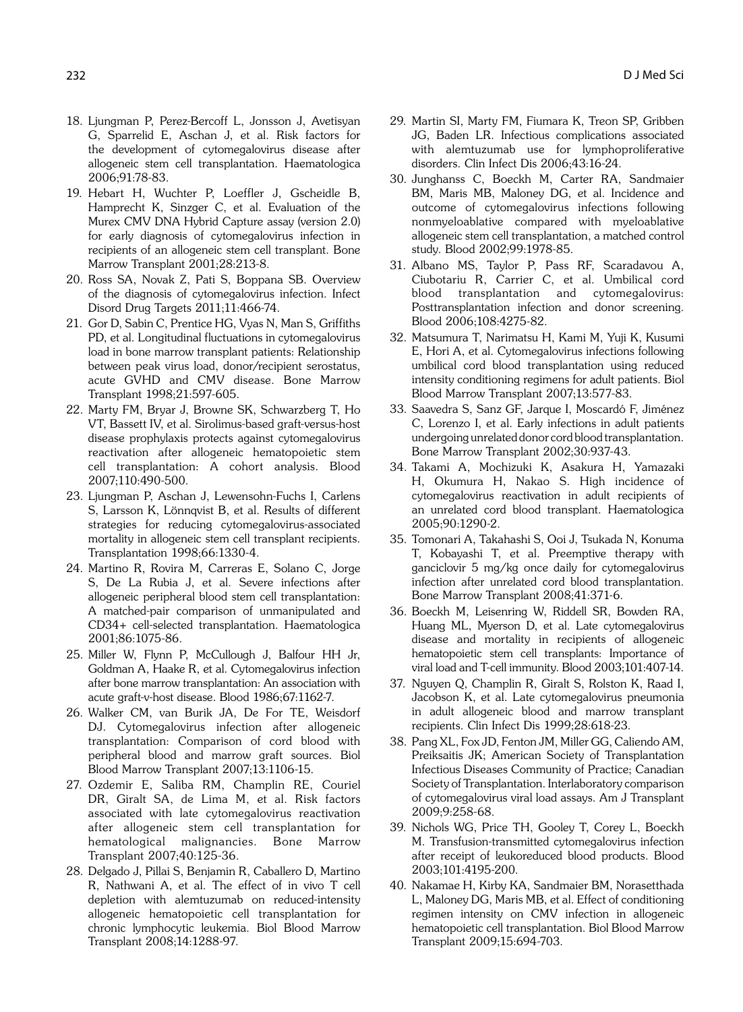- 18. Ljungman P, Perez-Bercoff L, Jonsson J, Avetisyan G, Sparrelid E, Aschan J, et al. Risk factors for the development of cytomegalovirus disease after allogeneic stem cell transplantation. Haematologica 2006;91:78-83.
- 19. Hebart H, Wuchter P, Loeffler J, Gscheidle B, Hamprecht K, Sinzger C, et al. Evaluation of the Murex CMV DNA Hybrid Capture assay (version 2.0) for early diagnosis of cytomegalovirus infection in recipients of an allogeneic stem cell transplant. Bone Marrow Transplant 2001;28:213-8.
- 20. Ross SA, Novak Z, Pati S, Boppana SB. Overview of the diagnosis of cytomegalovirus infection. Infect Disord Drug Targets 2011;11:466-74.
- 21. Gor D, Sabin C, Prentice HG, Vyas N, Man S, Griffiths PD, et al. Longitudinal fluctuations in cytomegalovirus load in bone marrow transplant patients: Relationship between peak virus load, donor/recipient serostatus, acute GVHD and CMV disease. Bone Marrow Transplant 1998;21:597-605.
- 22. Marty FM, Bryar J, Browne SK, Schwarzberg T, Ho VT, Bassett IV, et al. Sirolimus-based graft-versus-host disease prophylaxis protects against cytomegalovirus reactivation after allogeneic hematopoietic stem cell transplantation: A cohort analysis. Blood 2007;110:490-500.
- 23. Ljungman P, Aschan J, Lewensohn-Fuchs I, Carlens S, Larsson K, Lönnqvist B, et al. Results of different strategies for reducing cytomegalovirus-associated mortality in allogeneic stem cell transplant recipients. Transplantation 1998;66:1330-4.
- 24. Martino R, Rovira M, Carreras E, Solano C, Jorge S, De La Rubia J, et al. Severe infections after allogeneic peripheral blood stem cell transplantation: A matched-pair comparison of unmanipulated and CD34+ cell-selected transplantation. Haematologica 2001;86:1075-86.
- 25. Miller W, Flynn P, McCullough J, Balfour HH Jr, Goldman A, Haake R, et al. Cytomegalovirus infection after bone marrow transplantation: An association with acute graft-v-host disease. Blood 1986;67:1162-7.
- 26. Walker CM, van Burik JA, De For TE, Weisdorf DJ. Cytomegalovirus infection after allogeneic transplantation: Comparison of cord blood with peripheral blood and marrow graft sources. Biol Blood Marrow Transplant 2007;13:1106-15.
- 27. Ozdemir E, Saliba RM, Champlin RE, Couriel DR, Giralt SA, de Lima M, et al. Risk factors associated with late cytomegalovirus reactivation after allogeneic stem cell transplantation for hematological malignancies. Bone Marrow Transplant 2007;40:125-36.
- 28. Delgado J, Pillai S, Benjamin R, Caballero D, Martino R, Nathwani A, et al. The effect of in vivo T cell depletion with alemtuzumab on reduced-intensity allogeneic hematopoietic cell transplantation for chronic lymphocytic leukemia. Biol Blood Marrow Transplant 2008;14:1288-97.
- 29. Martin SI, Marty FM, Fiumara K, Treon SP, Gribben JG, Baden LR. Infectious complications associated with alemtuzumab use for lymphoproliferative disorders. Clin Infect Dis 2006;43:16-24.
- 30. Junghanss C, Boeckh M, Carter RA, Sandmaier BM, Maris MB, Maloney DG, et al. Incidence and outcome of cytomegalovirus infections following nonmyeloablative compared with myeloablative allogeneic stem cell transplantation, a matched control study. Blood 2002;99:1978-85.
- 31. Albano MS, Taylor P, Pass RF, Scaradavou A, Ciubotariu R, Carrier C, et al. Umbilical cord blood transplantation and cytomegalovirus: Posttransplantation infection and donor screening. Blood 2006;108:4275-82.
- 32. Matsumura T, Narimatsu H, Kami M, Yuji K, Kusumi E, Hori A, et al. Cytomegalovirus infections following umbilical cord blood transplantation using reduced intensity conditioning regimens for adult patients. Biol Blood Marrow Transplant 2007;13:577-83.
- 33. Saavedra S, Sanz GF, Jarque I, Moscardó F, Jiménez C, Lorenzo I, et al. Early infections in adult patients undergoing unrelated donor cord blood transplantation. Bone Marrow Transplant 2002;30:937-43.
- 34. Takami A, Mochizuki K, Asakura H, Yamazaki H, Okumura H, Nakao S. High incidence of cytomegalovirus reactivation in adult recipients of an unrelated cord blood transplant. Haematologica 2005;90:1290-2.
- 35. Tomonari A, Takahashi S, Ooi J, Tsukada N, Konuma T, Kobayashi T, et al. Preemptive therapy with ganciclovir 5 mg/kg once daily for cytomegalovirus infection after unrelated cord blood transplantation. Bone Marrow Transplant 2008;41:371-6.
- 36. Boeckh M, Leisenring W, Riddell SR, Bowden RA, Huang ML, Myerson D, et al. Late cytomegalovirus disease and mortality in recipients of allogeneic hematopoietic stem cell transplants: Importance of viral load and T-cell immunity. Blood 2003;101:407-14.
- 37. Nguyen Q, Champlin R, Giralt S, Rolston K, Raad I, Jacobson K, et al. Late cytomegalovirus pneumonia in adult allogeneic blood and marrow transplant recipients. Clin Infect Dis 1999;28:618-23.
- 38. Pang XL, Fox JD, Fenton JM, Miller GG, Caliendo AM, Preiksaitis JK; American Society of Transplantation Infectious Diseases Community of Practice; Canadian Society of Transplantation. Interlaboratory comparison of cytomegalovirus viral load assays. Am J Transplant 2009;9:258-68.
- 39. Nichols WG, Price TH, Gooley T, Corey L, Boeckh M. Transfusion-transmitted cytomegalovirus infection after receipt of leukoreduced blood products. Blood 2003;101:4195-200.
- 40. Nakamae H, Kirby KA, Sandmaier BM, Norasetthada L, Maloney DG, Maris MB, et al. Effect of conditioning regimen intensity on CMV infection in allogeneic hematopoietic cell transplantation. Biol Blood Marrow Transplant 2009;15:694-703.